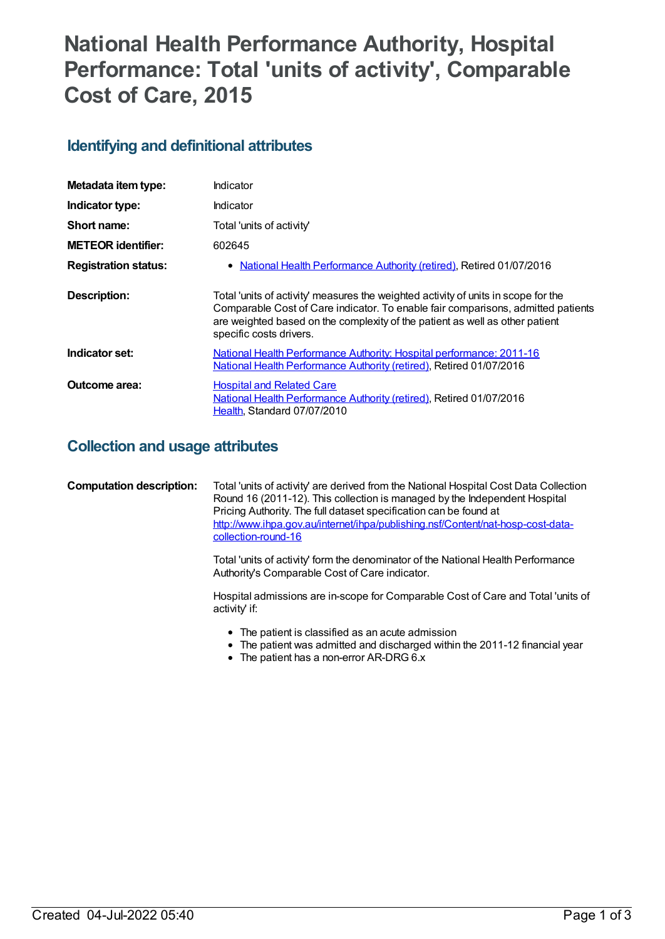# **National Health Performance Authority, Hospital Performance: Total 'units of activity' , Comparable Cost of Care, 2015**

## **Identifying and definitional attributes**

| Metadata item type:         | Indicator                                                                                                                                                                                                                                                                         |
|-----------------------------|-----------------------------------------------------------------------------------------------------------------------------------------------------------------------------------------------------------------------------------------------------------------------------------|
| Indicator type:             | Indicator                                                                                                                                                                                                                                                                         |
| Short name:                 | Total 'units of activity'                                                                                                                                                                                                                                                         |
| <b>METEOR identifier:</b>   | 602645                                                                                                                                                                                                                                                                            |
| <b>Registration status:</b> | National Health Performance Authority (retired), Retired 01/07/2016                                                                                                                                                                                                               |
| Description:                | Total 'units of activity' measures the weighted activity of units in scope for the<br>Comparable Cost of Care indicator. To enable fair comparisons, admitted patients<br>are weighted based on the complexity of the patient as well as other patient<br>specific costs drivers. |
| Indicator set:              | National Health Performance Authority: Hospital performance: 2011-16<br>National Health Performance Authority (retired), Retired 01/07/2016                                                                                                                                       |
| Outcome area:               | <b>Hospital and Related Care</b><br>National Health Performance Authority (retired), Retired 01/07/2016<br>Health, Standard 07/07/2010                                                                                                                                            |

### **Collection and usage attributes**

| <b>Computation description:</b> | Total 'units of activity' are derived from the National Hospital Cost Data Collection<br>Round 16 (2011-12). This collection is managed by the Independent Hospital<br>Pricing Authority. The full dataset specification can be found at<br>http://www.ihpa.gov.au/internet/ihpa/publishing.nsf/Content/nat-hosp-cost-data-<br>collection-round-16 |
|---------------------------------|----------------------------------------------------------------------------------------------------------------------------------------------------------------------------------------------------------------------------------------------------------------------------------------------------------------------------------------------------|
|                                 | Total 'units of activity' form the denominator of the National Health Performance                                                                                                                                                                                                                                                                  |

Authority's Comparable Cost of Care indicator.

Hospital admissions are in-scope for Comparable Cost of Care and Total 'units of activity' if:

- The patient is classified as an acute admission
- The patient was admitted and discharged within the 2011-12 financial year
- The patient has a non-error AR-DRG 6.x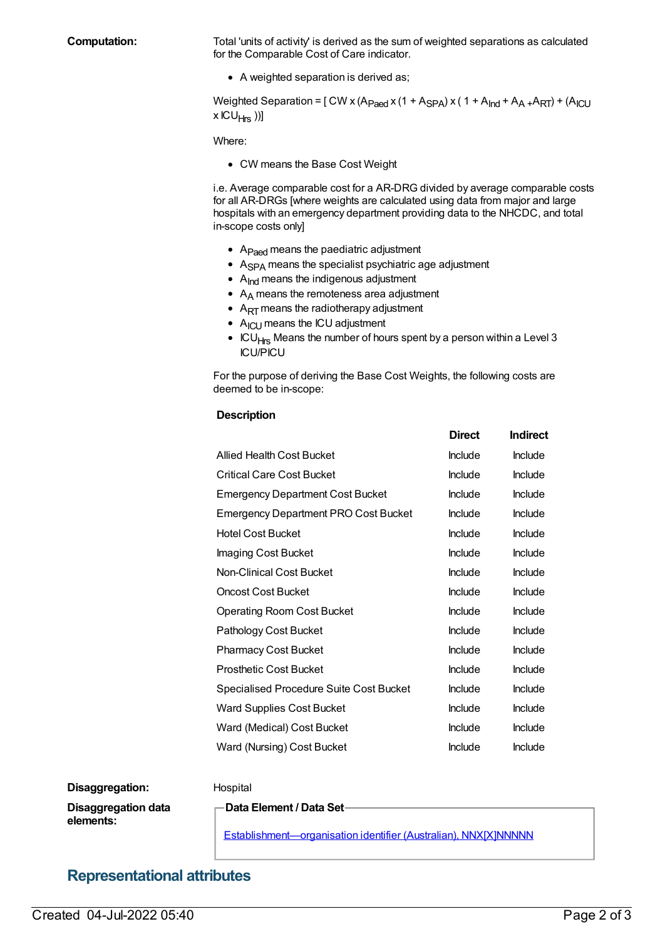**Computation:** Total 'units of activity' is derived as the sum of weighted separations as calculated for the Comparable Cost of Care indicator.

• A weighted separation is derived as;

Weighted Separation =  $[$  CW x (A<sub>Paed</sub> x (1 + A<sub>SPA</sub>) x (1 + A<sub>Ind</sub> + A<sub>A+</sub>A<sub>RT</sub>) + (A<sub>ICU</sub> x ICU<sub>Hrs</sub> ))]

Where:

CW means the Base Cost Weight

i.e. Average comparable cost for a AR-DRG divided by average comparable costs for all AR-DRGs [where weights are calculated using data from major and large hospitals with an emergency department providing data to the NHCDC, and total in-scope costs only]

- A<sub>Paed</sub> means the paediatric adjustment
- $\bullet$  A<sub>SPA</sub> means the specialist psychiatric age adjustment
- $\bullet$  A<sub>Ind</sub> means the indigenous adjustment
- $\bullet$  A<sub>A</sub> means the remoteness area adjustment
- $\bullet$  A<sub>RT</sub> means the radiotherapy adjustment
- $\bullet$  A<sub>ICU</sub> means the ICU adjustment
- $\bullet$  ICU<sub>Hrs</sub> Means the number of hours spent by a person within a Level 3 ICU/PICU

For the purpose of deriving the Base Cost Weights, the following costs are deemed to be in-scope:

#### **Description**

|                                             | <b>Direct</b>  | <b>Indirect</b> |
|---------------------------------------------|----------------|-----------------|
| Allied Health Cost Bucket                   | <b>Include</b> | <b>Include</b>  |
| <b>Critical Care Cost Bucket</b>            | Include        | Include         |
| <b>Emergency Department Cost Bucket</b>     | Include        | <b>Include</b>  |
| <b>Emergency Department PRO Cost Bucket</b> | Include        | <b>Include</b>  |
| <b>Hotel Cost Bucket</b>                    | Include        | <b>Include</b>  |
| Imaging Cost Bucket                         | Include        | <b>Include</b>  |
| Non-Clinical Cost Bucket                    | Include        | <b>Include</b>  |
| <b>Oncost Cost Bucket</b>                   | <b>Include</b> | Include         |
| <b>Operating Room Cost Bucket</b>           | Include        | Include         |
| Pathology Cost Bucket                       | Include        | <b>Include</b>  |
| <b>Pharmacy Cost Bucket</b>                 | Include        | <b>Include</b>  |
| <b>Prosthetic Cost Bucket</b>               | <b>Include</b> | <b>Include</b>  |
| Specialised Procedure Suite Cost Bucket     | Include        | <b>Include</b>  |
| Ward Supplies Cost Bucket                   | Include        | <b>Include</b>  |
| Ward (Medical) Cost Bucket                  | <b>Include</b> | <b>Include</b>  |
| Ward (Nursing) Cost Bucket                  | Include        | <b>Include</b>  |

#### **Disaggregation:** Hospital

**Disaggregation data elements:**

**Data Element / Data Set**

[Establishment—organisation](https://meteor.aihw.gov.au/content/269973) identifier (Australian), NNX[X]NNNNN

### **Representational attributes**